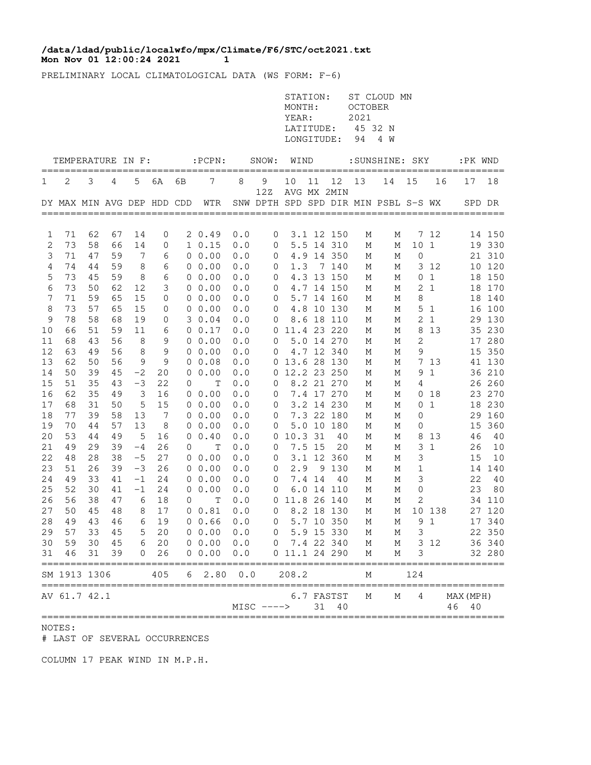## **Mon Nov 01 12:00:24 2021 1 /data/ldad/public/localwfo/mpx/Climate/F6/STC/oct2021.txt**

PRELIMINARY LOCAL CLIMATOLOGICAL DATA (WS FORM: F-6)

|                     |                                      |          |          |                 |                |             |                                                   |            |                     | STATION:<br>MONTH:<br>YEAR:<br>LATITUDE:<br>LONGITUDE: |        |                          | <b>OCTOBER</b><br>2021<br>45 32 N<br>94 | ST CLOUD MN<br>4 W                   |               |                 |                                        |                  |
|---------------------|--------------------------------------|----------|----------|-----------------|----------------|-------------|---------------------------------------------------|------------|---------------------|--------------------------------------------------------|--------|--------------------------|-----------------------------------------|--------------------------------------|---------------|-----------------|----------------------------------------|------------------|
|                     | TEMPERATURE IN F:                    |          |          |                 |                |             | $:$ PCPN $:$                                      |            | SNOW:               | WIND                                                   |        |                          |                                         | :SUNSHINE: SKY                       |               |                 | :PK WND                                |                  |
| 1                   | 2                                    | 3        | 4        | 5               | 6A             | 6В          | 7                                                 | 8          | 9                   | 10                                                     | 11     | 12                       | 13                                      | 14                                   | 15            | 16              | 17                                     | 18               |
|                     | DY MAX MIN AVG DEP HDD CDD           |          |          |                 |                |             | WTR                                               |            | 12Z                 |                                                        |        | AVG MX 2MIN              |                                         | SNW DPTH SPD SPD DIR MIN PSBL S-S WX |               |                 |                                        | SPD DR           |
|                     |                                      |          |          |                 |                |             |                                                   |            |                     |                                                        |        |                          |                                         |                                      |               |                 |                                        |                  |
| 1                   | 71                                   | 62       | 67       | 14              | 0              |             | 20.49                                             | 0.0        | $\mathbf 0$         |                                                        |        | 3.1 12 150               | М                                       | М                                    |               | 7 12            |                                        | 14 150           |
| 2                   | 73                                   | 58       | 66       | 14              | 0              |             | $1 \t 0.15$                                       | 0.0        | 0                   |                                                        |        | 5.5 14 310               | М                                       | М                                    | 101           |                 |                                        | 19 330           |
| 3                   | 71<br>74                             | 47<br>44 | 59<br>59 | $7\phantom{.0}$ | 6              |             | $0\;\;0.00$<br>$0\;\;0.00$                        | 0.0        | 0                   |                                                        |        | 4.9 14 350<br>7 140      | М                                       | М                                    | $\mathbf 0$   | 3 12            |                                        | 21 310           |
| $\overline{4}$<br>5 | 73                                   | 45       |          | 8<br>8          | 6              |             |                                                   | 0.0        | $\mathbf 0$         | 1.3                                                    |        |                          | М                                       | М                                    |               | 0 <sub>1</sub>  |                                        | 10 120           |
|                     | 73                                   | 50       | 59<br>62 |                 | 6<br>3         |             | $0\;\;0.00$<br>$0\;\;0.00$                        | 0.0        | 0                   |                                                        |        | 4.3 13 150               | М                                       | М                                    |               | 2 <sub>1</sub>  |                                        | 18 150           |
| 6<br>7              | 71                                   | 59       |          | 12              |                |             |                                                   | 0.0        | $\mathbf 0$         |                                                        |        | 4.7 14 150               | М                                       | М                                    | 8             |                 |                                        | 18 170           |
| 8                   | 73                                   | 57       | 65<br>65 | 15<br>15        | 0<br>0         |             | $0\;\;0.00$<br>$0\;\;0.00$                        | 0.0<br>0.0 | $\overline{0}$<br>0 |                                                        |        | 5.7 14 160<br>4.8 10 130 | М<br>М                                  | М<br>М                               |               | 5 <sub>1</sub>  |                                        | 18 140<br>16 100 |
| 9                   | 78                                   | 58       | 68       | 19              | 0              |             | 30.04                                             | 0.0        | 0                   |                                                        |        | 8.6 18 110               |                                         | М                                    |               | 2 <sub>1</sub>  |                                        | 29 130           |
| 10                  | 66                                   | 51       | 59       | 11              | 6              |             | 0 0.17                                            | 0.0        |                     | 0 11.4 23 220                                          |        |                          | М<br>М                                  |                                      |               | 8 1 3           |                                        | 35 230           |
| 11                  | 68                                   | 43       | 56       | 8               | 9              |             | $0\;\;0.00$                                       | 0.0        | 0                   |                                                        |        | 5.0 14 270               | М                                       | М<br>М                               | $\mathbf{2}$  |                 |                                        | 17 280           |
| 12                  | 63                                   | 49       | 56       | 8               | 9              |             | $0\;\;0.00$                                       | 0.0        | 0                   |                                                        |        | 4.7 12 340               | М                                       |                                      | 9             |                 |                                        | 15 350           |
| 13                  | 62                                   | 50       | 56       | 9               | 9              |             | $0\;\;0.08$                                       | 0.0        |                     | 0 13.6 28 130                                          |        |                          | М                                       | М<br>М                               |               | 7 13            |                                        | 41 130           |
| 14                  | 50                                   | 39       | 45       | $-2$            | 20             |             | $0\;\;0.00$                                       | 0.0        |                     | 0 12.2 23 250                                          |        |                          | М                                       | М                                    |               | 91              |                                        | 36 210           |
| 15                  | 51                                   | 35       | 43       | $-3$            | 22             | 0           | Т                                                 | 0.0        | 0                   |                                                        |        | 8.2 21 270               | М                                       | М                                    | 4             |                 |                                        | 26 260           |
| 16                  | 62                                   | 35       | 49       | 3               | 16             |             | 0 0.00                                            | 0.0        | $\overline{0}$      |                                                        |        | 7.4 17 270               | М                                       | М                                    |               | 0 <sub>18</sub> |                                        | 23 270           |
| 17                  | 68                                   | 31       | 50       | 5               | 15             |             | $0\;\;0.00$                                       | 0.0        | 0                   |                                                        |        | 3.2 14 230               | М                                       | М                                    |               | 0 <sub>1</sub>  |                                        | 18 230           |
| 18                  | 77                                   | 39       | 58       | 13              | $\overline{7}$ |             | $0\;\;0.00$                                       | 0.0        | $\overline{0}$      |                                                        |        | 7.3 22 180               | М                                       | М                                    | $\mathbf 0$   |                 |                                        | 29 160           |
| 19                  | 70                                   | 44       | 57       | 13              | 8              |             | $0\;\;0.00$                                       | 0.0        | 0                   |                                                        |        | 5.0 10 180               | М                                       | М                                    | 0             |                 |                                        | 15 360           |
| 20                  | 53                                   | 44       | 49       | 5               | 16             |             | $0 \t 0.40$                                       | 0.0        | $\overline{0}$      | 10.3 31                                                |        | 40                       | М                                       | М                                    | 8             | 13              | 46                                     | 40               |
| 21                  | 49                                   | 29       | 39       | $-4$            | 26             | 0           | Т                                                 | 0.0        | 0                   |                                                        | 7.5 15 | 20                       | М                                       | М                                    | 3             | 1               | 26                                     | 10               |
| 22                  | 48                                   | 28       | 38       | $-5$            | 27             |             | $0\;\;0.00$                                       | 0.0        | $\mathbf 0$         |                                                        |        | 3.1 12 360               | М                                       | М                                    | 3             |                 | 15                                     | 10               |
| 23                  | 51                                   | 26       | 39       | $-3$            | 26             |             | $0\;\;0.00$                                       | 0.0        | 0                   |                                                        |        | 2.9 9 130                | М                                       | М                                    | 1             |                 |                                        | 14 140           |
| 24                  | 49                                   | 33       | 41       | $-1$            | 24             |             | $0\;\;0.00$                                       | 0.0        | 0                   |                                                        | 7.4 14 | 40                       | М                                       | М                                    | 3             |                 | 22                                     | 40               |
| 25                  | 52                                   | 30       | 41       | -1              | 24             |             | 0 0.00                                            | 0.0        | 0                   |                                                        |        | 6.0 14 110               | М                                       | М                                    | 0             |                 | 23                                     | 80               |
| 26                  | 56                                   | 38       | 47       | 6               | 18             | $\mathbf 0$ | Т                                                 | 0.0        |                     | 0 11.8 26 140                                          |        |                          | М                                       | М                                    | 2             |                 |                                        | 34 110           |
| 27                  | 50                                   | 45       | 48       | 8               | 17             |             | 0 0.81                                            | 0.0        | $\overline{0}$      |                                                        |        | 8.2 18 130               | М                                       | М                                    |               | 10 138          |                                        | 27 120           |
|                     |                                      |          |          |                 |                |             | 28 49 43 46 6 19 0 0.66 0.0                       |            |                     | 0 5.7 10 350 M                                         |        |                          |                                         |                                      | M 9 1         |                 |                                        | 17 340           |
| 29                  | 57                                   |          | 33 45    |                 | 5 20           |             | $0\ 0.00$                                         | 0.0        |                     | 0 5.9 15 330                                           |        |                          | M                                       | М                                    | $\mathcal{S}$ |                 |                                        | 22 350           |
| 30                  |                                      |          | 59 30 45 |                 | 6 20           |             | $0\ 0.00$                                         | 0.0        |                     | 0 7.4 22 340                                           |        |                          | $M_{\rm}$                               | М                                    | 3 12          |                 |                                        | 36 340           |
| 31                  | 46                                   | 31       | 39       |                 | 0 26           |             | 0 0.00                                            | 0.0        |                     | 0 11.1 24 290                                          |        |                          | М                                       | М                                    | 3             |                 |                                        | 32 280           |
|                     | SM 1913 1306                         |          |          |                 | 405            |             | =====================================<br>62.800.0 |            | =======             | 208.2                                                  |        |                          | М                                       |                                      | 124           |                 | ______________________________________ |                  |
|                     | ====================<br>AV 61.7 42.1 |          |          |                 |                |             |                                                   |            | $MISC$ $---$        |                                                        |        | 6.7 FASTST<br>31 40      | М                                       | М                                    | 4             |                 | MAX (MPH)<br>46<br>40                  |                  |

NOTES:

# LAST OF SEVERAL OCCURRENCES

COLUMN 17 PEAK WIND IN M.P.H.